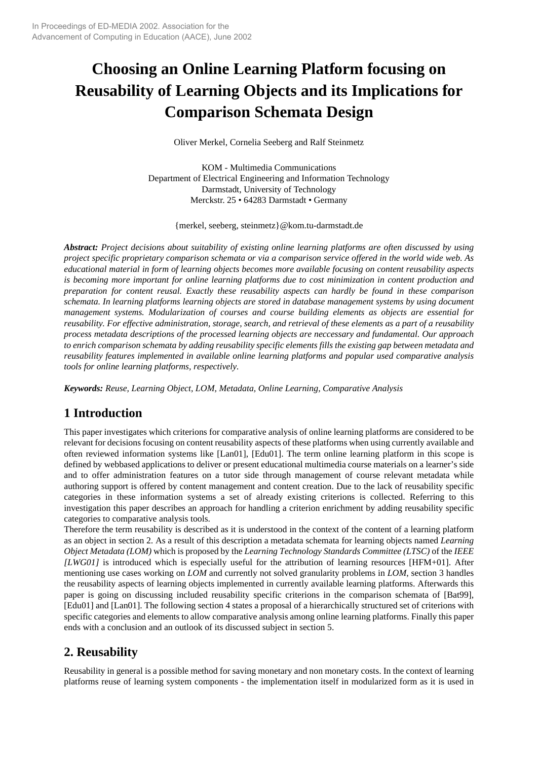# **Choosing an Online Learning Platform focusing on Reusability of Learning Objects and its Implications for Comparison Schemata Design**

Oliver Merkel, Cornelia Seeberg and Ralf Steinmetz

KOM - Multimedia Communications Department of Electrical Engineering and Information Technology Darmstadt, University of Technology Merckstr. 25 • 64283 Darmstadt • Germany

{merkel, seeberg, steinmetz}@kom.tu-darmstadt.de

*Abstract: Project decisions about suitability of existing online learning platforms are often discussed by using* project specific proprietary comparison schemata or via a comparison service offered in the world wide web. As *educational material in form of learning objects becomes more available focusing on content reusability aspects is becoming more important for online learning platforms due to cost minimization in content production and preparation for content reusal. Exactly these reusability aspects can hardly be found in these comparison schemata. In learning platforms learning objects are stored in database management systems by using document management systems. Modularization of courses and course building elements as objects are essential for* reusability. For effective administration, storage, search, and retrieval of these elements as a part of a reusability *process metadata descriptions of the processed learning objects are neccessary and fundamental. Our approach* to enrich comparison schemata by adding reusability specific elements fills the existing gap between metadata and *reusability features implemented in available online learning platforms and popular used comparative analysis tools for online learning platforms, respectively.*

*Keywords: Reuse, Learning Object, LOM, Metadata, Online Learning, Comparative Analysis*

## **1 Introduction**

This paper investigates which criterions for comparative analysis of online learning platforms are considered to be relevant for decisions focusing on content reusability aspects of these platforms when using currently available and often reviewed information systems like [Lan01], [Edu01]. The term online learning platform in this scope is defined by webbased applications to deliver or present educational multimedia course materials on a learner's side and to offer administration features on a tutor side through management of course relevant metadata while authoring support is offered by content management and content creation. Due to the lack of reusability specific categories in these information systems a set of already existing criterions is collected. Referring to this investigation this paper describes an approach for handling a criterion enrichment by adding reusability specific categories to comparative analysis tools.

Therefore the term reusability is described as it is understood in the context of the content of a learning platform as an object in section 2. As a result of this description a metadata schemata for learning objects named *Learning Object Metadata (LOM)* which is proposed by the *Learning Technology Standards Committee (LTSC)* of the *IEEE [LWG01]* is introduced which is especially useful for the attribution of learning resources [HFM+01]. After mentioning use cases working on *LOM* and currently not solved granularity problems in *LOM*, section 3 handles the reusability aspects of learning objects implemented in currently available learning platforms. Afterwards this paper is going on discussing included reusability specific criterions in the comparison schemata of [Bat99], [Edu01] and [Lan01]. The following section 4 states a proposal of a hierarchically structured set of criterions with specific categories and elements to allow comparative analysis among online learning platforms. Finally this paper ends with a conclusion and an outlook of its discussed subject in section 5.

## **2. Reusability**

Reusability in general is a possible method for saving monetary and non monetary costs. In the context of learning platforms reuse of learning system components - the implementation itself in modularized form as it is used in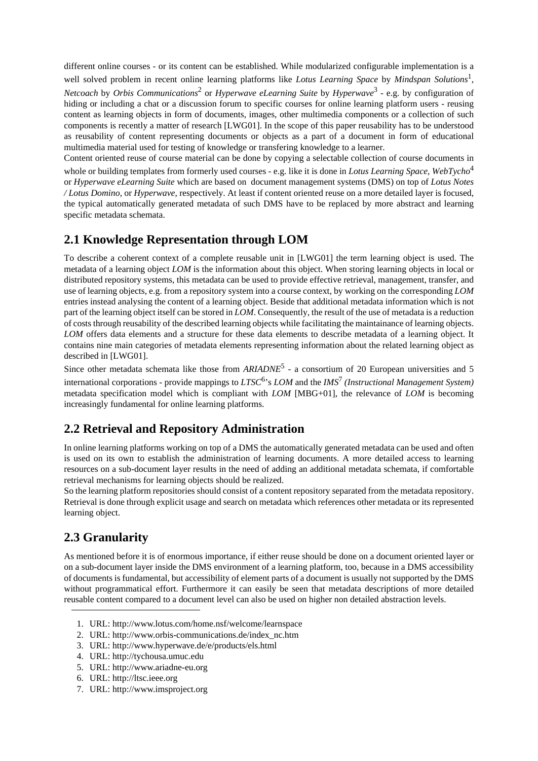different online courses - or its content can be established. While modularized configurable implementation is a well solved problem in recent online learning platforms like *Lotus Learning Space* by *Mindspan Solutions*<sup>1</sup> , *Netcoach* by *Orbis Communications*<sup>2</sup> or *Hyperwave eLearning Suite* by *Hyperwave*<sup>3</sup> - e.g. by configuration of hiding or including a chat or a discussion forum to specific courses for online learning platform users - reusing content as learning objects in form of documents, images, other multimedia components or a collection of such components is recently a matter of research [LWG01]. In the scope of this paper reusability has to be understood as reusability of content representing documents or objects as a part of a document in form of educational multimedia material used for testing of knowledge or transfering knowledge to a learner.

Content oriented reuse of course material can be done by copying a selectable collection of course documents in

whole or building templates from formerly used courses - e.g. like it is done in *Lotus Learning Space*, *WebTycho*<sup>4</sup> or *Hyperwave eLearning Suite* which are based on document management systems (DMS) on top of *Lotus Notes / Lotus Domino*, or *Hyperwave*, respectively. At least if content oriented reuse on a more detailed layer is focused, the typical automatically generated metadata of such DMS have to be replaced by more abstract and learning specific metadata schemata.

### **2.1 Knowledge Representation through LOM**

To describe a coherent context of a complete reusable unit in [LWG01] the term learning object is used. The metadata of a learning object *LOM* is the information about this object. When storing learning objects in local or distributed repository systems, this metadata can be used to provide effective retrieval, management, transfer, and use of learning objects, e.g. from a repository system into a course context, by working on the corresponding *LOM* entries instead analysing the content of a learning object. Beside that additional metadata information which is not part of the learning object itself can be stored in LOM. Consequently, the result of the use of metadata is a reduction of coststhrough reusability of the described learning objects while facilitating the maintainance of learning objects. *LOM* offers data elements and a structure for these data elements to describe metadata of a learning object. It contains nine main categories of metadata elements representing information about the related learning object as described in [LWG01].

Since other metadata schemata like those from *ARIADNE*<sup>5</sup> - a consortium of 20 European universities and 5 international corporations - provide mappings to *LTSC*<sup>6</sup> 's *LOM* and the *IMS*<sup>7</sup> *(Instructional Management System)* metadata specification model which is compliant with *LOM* [MBG+01], the relevance of *LOM* is becoming increasingly fundamental for online learning platforms.

## **2.2 Retrieval and Repository Administration**

In online learning platforms working on top of a DMS the automatically generated metadata can be used and often is used on its own to establish the administration of learning documents. A more detailed access to learning resources on a sub-document layer results in the need of adding an additional metadata schemata, if comfortable retrieval mechanisms for learning objects should be realized.

So the learning platform repositories should consist of a content repository separated from the metadata repository. Retrieval is done through explicit usage and search on metadata which references other metadata or its represented learning object.

# **2.3 Granularity**

As mentioned before it is of enormous importance, if either reuse should be done on a document oriented layer or on a sub-document layer inside the DMS environment of a learning platform, too, because in a DMS accessibility of documents is fundamental, but accessibility of element parts of a documentis usually not supported by the DMS without programmatical effort. Furthermore it can easily be seen that metadata descriptions of more detailed reusable content compared to a document level can also be used on higher non detailed abstraction levels.

- 1. URL: http://www.lotus.com/home.nsf/welcome/learnspace
- 2. URL: http://www.orbis-communications.de/index\_nc.htm
- 3. URL: http://www.hyperwave.de/e/products/els.html
- 4. URL: http://tychousa.umuc.edu
- 5. URL: http://www.ariadne-eu.org
- 6. URL: http://ltsc.ieee.org
- 7. URL: http://www.imsproject.org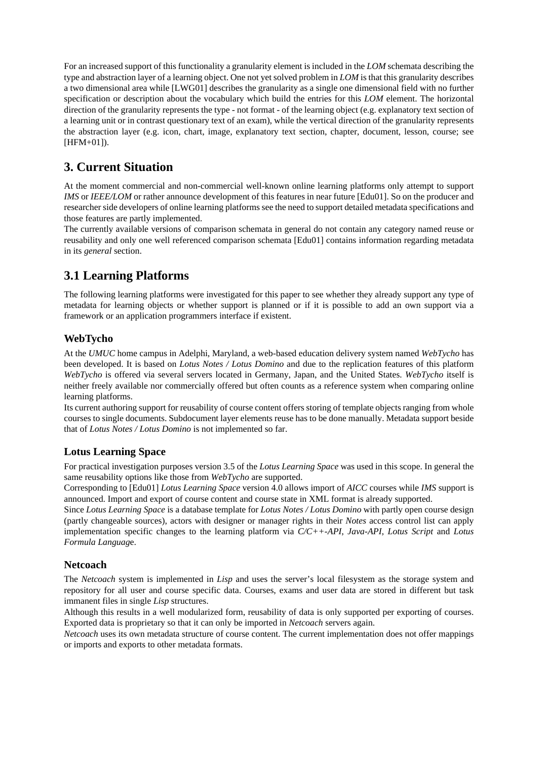For an increased support of this functionality a granularity elementis included in the*LOM* schemata describing the type and abstraction layer of a learning object. One not yet solved problem in*LOM* is thatthis granularity describes a two dimensional area while [LWG01] describes the granularity as a single one dimensional field with no further specification or description about the vocabulary which build the entries for this *LOM* element. The horizontal direction of the granularity represents the type - not format - of the learning object (e.g. explanatory text section of a learning unit or in contrast questionary text of an exam), while the vertical direction of the granularity represents the abstraction layer (e.g. icon, chart, image, explanatory text section, chapter, document, lesson, course; see [HFM+01]).

### **3. Current Situation**

At the moment commercial and non-commercial well-known online learning platforms only attempt to support *IMS* or *IEEE/LOM* or rather announce development of this features in near future [Edu01]. So on the producer and researcher side developers of online learning platforms see the need to support detailed metadata specifications and those features are partly implemented.

The currently available versions of comparison schemata in general do not contain any category named reuse or reusability and only one well referenced comparison schemata [Edu01] contains information regarding metadata in its *general* section.

### **3.1 Learning Platforms**

The following learning platforms were investigated for this paper to see whether they already support any type of metadata for learning objects or whether support is planned or if it is possible to add an own support via a framework or an application programmers interface if existent.

#### **WebTycho**

At the *UMUC* home campus in Adelphi, Maryland, a web-based education delivery system named *WebTycho* has been developed. It is based on *Lotus Notes / Lotus Domino* and due to the replication features of this platform *WebTycho* is offered via several servers located in Germany, Japan, and the United States. *WebTycho* itself is neither freely available nor commercially offered but often counts as a reference system when comparing online learning platforms.

Its current authoring support for reusability of course content offers storing of template objects ranging from whole courses to single documents. Subdocument layer elements reuse has to be done manually. Metadata support beside that of *Lotus Notes / Lotus Domino* is not implemented so far.

#### **Lotus Learning Space**

For practical investigation purposes version 3.5 of the *Lotus Learning Space* was used in this scope. In general the same reusability options like those from *WebTycho* are supported.

Corresponding to [Edu01] *Lotus Learning Space* version 4.0 allows import of *AICC* courses while *IMS* support is announced. Import and export of course content and course state in XML format is already supported.

Since *Lotus Learning Space* is a database template for *Lotus Notes / Lotus Domino* with partly open course design (partly changeable sources), actors with designer or manager rights in their *Notes* access control list can apply implementation specific changes to the learning platform via *C/C++-API*, *Java-API*, *Lotus Script* and *Lotus Formula Languag*e.

#### **Netcoach**

The *Netcoach* system is implemented in *Lisp* and uses the server's local filesystem as the storage system and repository for all user and course specific data. Courses, exams and user data are stored in different but task immanent files in single *Lisp* structures.

Although this results in a well modularized form, reusability of data is only supported per exporting of courses. Exported data is proprietary so that it can only be imported in *Netcoach* servers again.

*Netcoach* uses its own metadata structure of course content. The current implementation does not offer mappings or imports and exports to other metadata formats.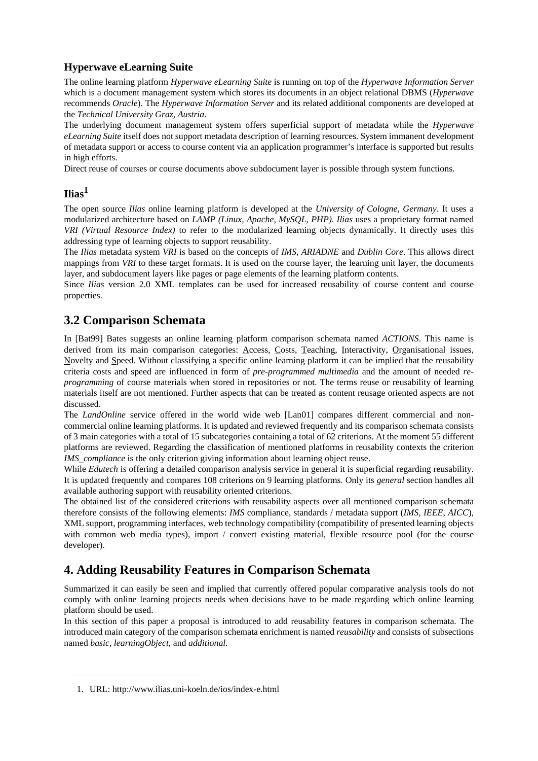#### **Hyperwave eLearning Suite**

The online learning platform *Hyperwave eLearning Suite* is running on top of the *Hyperwave Information Server* which is a document management system which stores its documents in an object relational DBMS (*Hyperwave* recommends *Oracle*). The *Hyperwave Information Server* and its related additional components are developed at the *Technical University Graz, Austria*.

The underlying document management system offers superficial support of metadata while the *Hyperwave eLearning Suite* itself does not support metadata description of learning resources. System immanent development of metadata support or access to course content via an application programmer's interface is supported but results in high efforts.

Direct reuse of courses or course documents above subdocument layer is possible through system functions.

#### **Ilias<sup>1</sup>**

The open source *Ilias* online learning platform is developed at the *University of Cologne, Germany*. It uses a modularized architecture based on *LAMP (Linux, Apache, MySQL, PHP)*. *Ilias* uses a proprietary format named *VRI (Virtual Resource Index)* to refer to the modularized learning objects dynamically. It directly uses this addressing type of learning objects to support reusability.

The *Ilias* metadata system *VRI* is based on the concepts of *IMS, ARIADNE* and *Dublin Core*. This allows direct mappings from *VRI* to these target formats. It is used on the course layer, the learning unit layer, the documents layer, and subdocument layers like pages or page elements of the learning platform contents.

Since *Ilias* version 2.0 XML templates can be used for increased reusability of course content and course properties.

### **3.2 Comparison Schemata**

In [Bat99] Bates suggests an online learning platform comparison schemata named *ACTIONS*. This name is derived from its main comparison categories: Access, Costs, Teaching, Interactivity, Organisational issues, Novelty and Speed. Without classifying a specific online learning platform it can be implied that the reusability criteria costs and speed are influenced in form of *pre-programmed multimedia* and the amount of needed *reprogramming* of course materials when stored in repositories or not. The terms reuse or reusability of learning materials itself are not mentioned. Further aspects that can be treated as content reusage oriented aspects are not discussed.

The *LandOnline* service offered in the world wide web [Lan01] compares different commercial and noncommercial online learning platforms. It is updated and reviewed frequently and its comparison schemata consists of 3 main categories with a total of 15 subcategories containing a total of 62 criterions. At the moment 55 different platforms are reviewed. Regarding the classification of mentioned platforms in reusability contexts the criterion *IMS\_compliance* is the only criterion giving information about learning object reuse.

While *Edutech* is offering a detailed comparison analysis service in general it is superficial regarding reusability. It is updated frequently and compares 108 criterions on 9 learning platforms. Only its *general* section handles all available authoring support with reusability oriented criterions.

The obtained list of the considered criterions with reusability aspects over all mentioned comparison schemata therefore consists of the following elements: *IMS* compliance, standards / metadata support (*IMS, IEEE, AICC*), XML support, programming interfaces, web technology compatibility (compatibility of presented learning objects with common web media types), import / convert existing material, flexible resource pool (for the course developer).

## **4. Adding Reusability Features in Comparison Schemata**

Summarized it can easily be seen and implied that currently offered popular comparative analysis tools do not comply with online learning projects needs when decisions have to be made regarding which online learning platform should be used.

In this section of this paper a proposal is introduced to add reusability features in comparison schemata. The introduced main category of the comparison schemata enrichment is named *reusability* and consists of subsections named *basic*, *learningObject*, and *additional.*

<sup>1.</sup> URL: http://www.ilias.uni-koeln.de/ios/index-e.html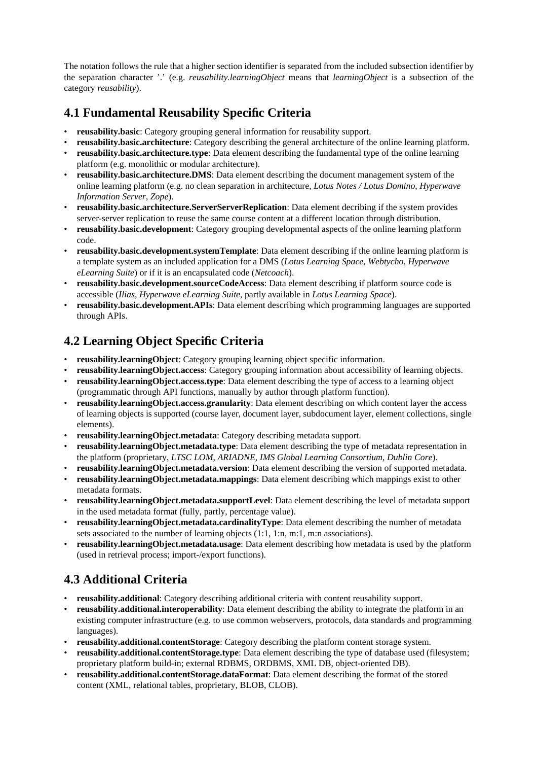The notation follows the rule that a higher section identifier is separated from the included subsection identifier by the separation character '.' (e.g. *reusability.learningObject* means that *learningObject* is a subsection of the category *reusability*).

# **4.1 Fundamental Reusability Specific Criteria**

- **reusability.basic**: Category grouping general information for reusability support.
- **reusability.basic.architecture**: Category describing the general architecture of the online learning platform.
- **reusability.basic.architecture.type**: Data element describing the fundamental type of the online learning platform (e.g. monolithic or modular architecture).
- **reusability.basic.architecture.DMS**: Data element describing the document management system of the online learning platform (e.g. no clean separation in architecture, *Lotus Notes / Lotus Domino*, *Hyperwave Information Server*, *Zope*).
- **reusability.basic.architecture.ServerServerReplication**: Data element decribing if the system provides server-server replication to reuse the same course content at a different location through distribution.
- **reusability.basic.development**: Category grouping developmental aspects of the online learning platform code.
- **reusability.basic.development.systemTemplate**: Data element describing if the online learning platform is a template system as an included application for a DMS (*Lotus Learning Space*, *Webtycho*, *Hyperwave eLearning Suite*) or if it is an encapsulated code (*Netcoach*).
- **reusability.basic.development.sourceCodeAccess**: Data element describing if platform source code is accessible (*Ilias*, *Hyperwave eLearning Suite*, partly available in *Lotus Learning Space*).
- **reusability.basic.development.APIs**: Data element describing which programming languages are supported through APIs.

# **4.2 Learning Object Specific Criteria**

- **reusability.learningObject**: Category grouping learning object specific information.
- **reusability.learningObject.access**: Category grouping information about accessibility of learning objects.
- **reusability.learningObject.access.type**: Data element describing the type of access to a learning object (programmatic through API functions, manually by author through platform function).
- **reusability.learningObject.access.granularity**: Data element describing on which content layer the access of learning objects is supported (course layer, document layer, subdocument layer, element collections, single elements).
- **reusability.learningObject.metadata**: Category describing metadata support.
- **reusability.learningObject.metadata.type**: Data element describing the type of metadata representation in the platform (proprietary, *LTSC LOM*, *ARIADNE*, *IMS Global Learning Consortium*, *Dublin Core*).
- **reusability.learningObject.metadata.version**: Data element describing the version of supported metadata. • **reusability.learningObject.metadata.mappings**: Data element describing which mappings exist to other
- metadata formats. • **reusability.learningObject.metadata.supportLevel**: Data element describing the level of metadata support in the used metadata format (fully, partly, percentage value).
- **reusability.learningObject.metadata.cardinalityType**: Data element describing the number of metadata sets associated to the number of learning objects (1:1, 1:n, m:1, m:n associations).
- **reusability.learningObject.metadata.usage**: Data element describing how metadata is used by the platform (used in retrieval process; import-/export functions).

# **4.3 Additional Criteria**

- **reusability.additional**: Category describing additional criteria with content reusability support.
- **reusability.additional.interoperability**: Data element describing the ability to integrate the platform in an existing computer infrastructure (e.g. to use common webservers, protocols, data standards and programming languages).
- **reusability.additional.contentStorage**: Category describing the platform content storage system.
- **reusability.additional.contentStorage.type**: Data element describing the type of database used (filesystem; proprietary platform build-in; external RDBMS, ORDBMS, XML DB, object-oriented DB).
- **reusability.additional.contentStorage.dataFormat**: Data element describing the format of the stored content (XML, relational tables, proprietary, BLOB, CLOB).